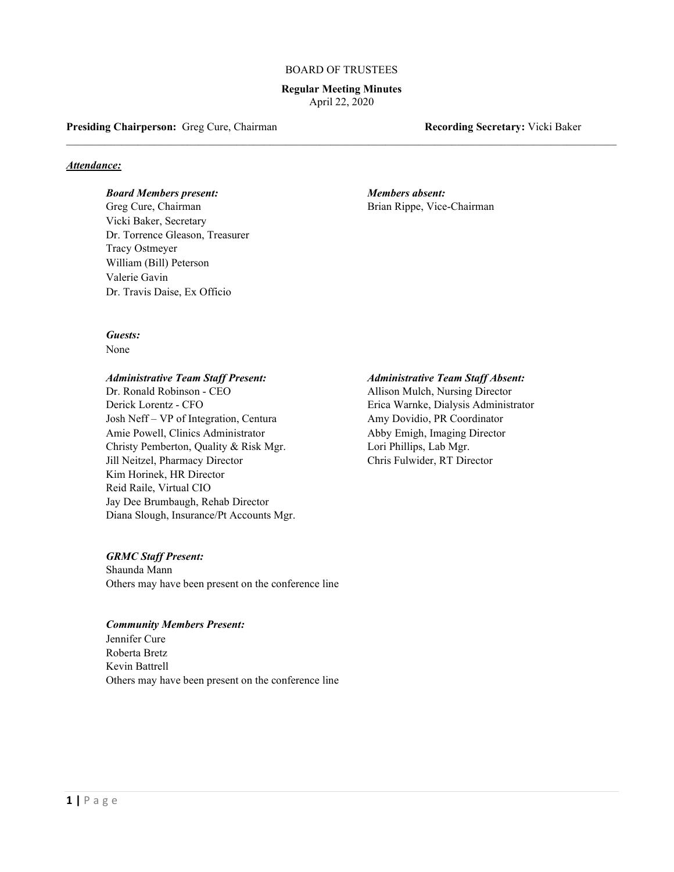#### BOARD OF TRUSTEES

**Regular Meeting Minutes** April 22, 2020

\_\_\_\_\_\_\_\_\_\_\_\_\_\_\_\_\_\_\_\_\_\_\_\_\_\_\_\_\_\_\_\_\_\_\_\_\_\_\_\_\_\_\_\_\_\_\_\_\_\_\_\_\_\_\_\_\_\_\_\_\_\_\_\_\_\_\_\_\_\_\_\_\_\_\_\_\_\_\_\_\_\_\_\_\_\_\_\_\_\_\_\_\_\_\_\_\_\_\_\_

**Presiding Chairperson:** Greg Cure, Chairman **Recording Secretary:** Vicki Baker

## *Attendance:*

## *Board Members present:**Members absent:*

Greg Cure, Chairman Brian Rippe, Vice-Chairman Brian Rippe, Vice-Chairman Vicki Baker, Secretary Dr. Torrence Gleason, Treasurer Tracy Ostmeyer William (Bill) Peterson Valerie Gavin Dr. Travis Daise, Ex Officio

# *Guests:*

None

#### *Administrative Team Staff Present: Administrative Team Staff Absent:*

Dr. Ronald Robinson - CEO Allison Mulch, Nursing Director Derick Lorentz - CFO Erica Warnke, Dialysis Administrator Josh Neff – VP of Integration, Centura Amy Dovidio, PR Coordinator Amie Powell, Clinics Administrator Abby Emigh, Imaging Director Christy Pemberton, Quality & Risk Mgr. Lori Phillips, Lab Mgr. Jill Neitzel, Pharmacy Director Chris Fulwider, RT Director Kim Horinek, HR Director Reid Raile, Virtual CIO Jay Dee Brumbaugh, Rehab Director Diana Slough, Insurance/Pt Accounts Mgr.

## *GRMC Staff Present:*

Shaunda Mann Others may have been present on the conference line

## *Community Members Present:*

Jennifer Cure Roberta Bretz Kevin Battrell Others may have been present on the conference line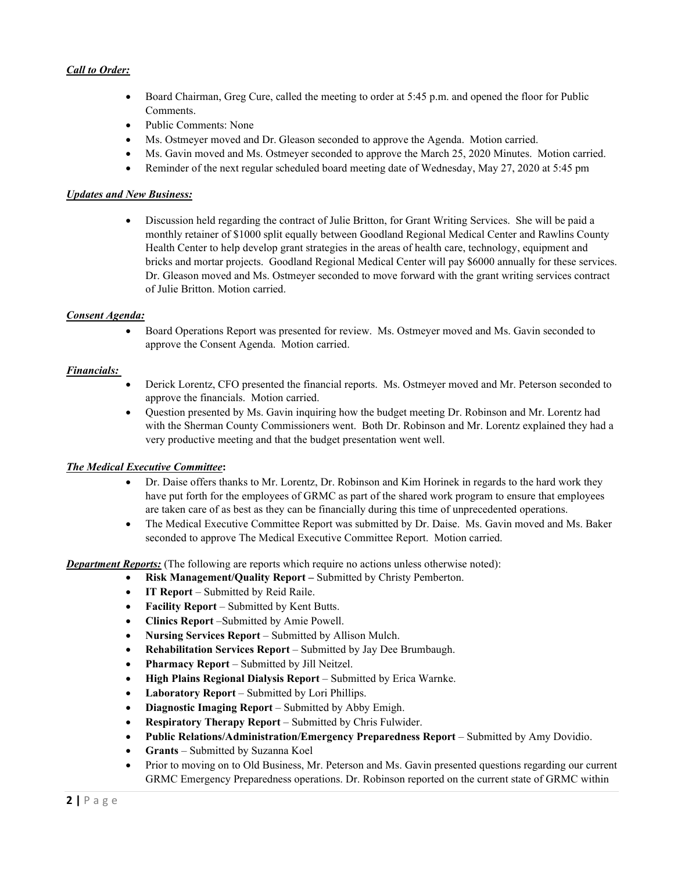# *Call to Order:*

- Board Chairman, Greg Cure, called the meeting to order at 5:45 p.m. and opened the floor for Public Comments.
- Public Comments: None
- Ms. Ostmeyer moved and Dr. Gleason seconded to approve the Agenda. Motion carried.
- Ms. Gavin moved and Ms. Ostmeyer seconded to approve the March 25, 2020 Minutes. Motion carried.
- Reminder of the next regular scheduled board meeting date of Wednesday, May 27, 2020 at 5:45 pm

# *Updates and New Business:*

• Discussion held regarding the contract of Julie Britton, for Grant Writing Services. She will be paid a monthly retainer of \$1000 split equally between Goodland Regional Medical Center and Rawlins County Health Center to help develop grant strategies in the areas of health care, technology, equipment and bricks and mortar projects. Goodland Regional Medical Center will pay \$6000 annually for these services. Dr. Gleason moved and Ms. Ostmeyer seconded to move forward with the grant writing services contract of Julie Britton. Motion carried.

# *Consent Agenda:*

• Board Operations Report was presented for review. Ms. Ostmeyer moved and Ms. Gavin seconded to approve the Consent Agenda. Motion carried.

# *Financials:*

- Derick Lorentz, CFO presented the financial reports. Ms. Ostmeyer moved and Mr. Peterson seconded to approve the financials. Motion carried.
- Question presented by Ms. Gavin inquiring how the budget meeting Dr. Robinson and Mr. Lorentz had with the Sherman County Commissioners went. Both Dr. Robinson and Mr. Lorentz explained they had a very productive meeting and that the budget presentation went well.

## *The Medical Executive Committee***:**

- Dr. Daise offers thanks to Mr. Lorentz, Dr. Robinson and Kim Horinek in regards to the hard work they have put forth for the employees of GRMC as part of the shared work program to ensure that employees are taken care of as best as they can be financially during this time of unprecedented operations.
- The Medical Executive Committee Report was submitted by Dr. Daise. Ms. Gavin moved and Ms. Baker seconded to approve The Medical Executive Committee Report. Motion carried.

*Department Reports:* (The following are reports which require no actions unless otherwise noted):

- **Risk Management/Quality Report –** Submitted by Christy Pemberton.
- **IT Report** Submitted by Reid Raile.
- **Facility Report** Submitted by Kent Butts.
- **Clinics Report** –Submitted by Amie Powell.
- **Nursing Services Report** Submitted by Allison Mulch.
- **Rehabilitation Services Report** Submitted by Jay Dee Brumbaugh.
- **Pharmacy Report** Submitted by Jill Neitzel.
- **High Plains Regional Dialysis Report** Submitted by Erica Warnke.
- **Laboratory Report** Submitted by Lori Phillips.
- **Diagnostic Imaging Report** Submitted by Abby Emigh.
- **Respiratory Therapy Report** Submitted by Chris Fulwider.
- **Public Relations/Administration/Emergency Preparedness Report** Submitted by Amy Dovidio.
- **Grants**  Submitted by Suzanna Koel
- Prior to moving on to Old Business, Mr. Peterson and Ms. Gavin presented questions regarding our current GRMC Emergency Preparedness operations. Dr. Robinson reported on the current state of GRMC within